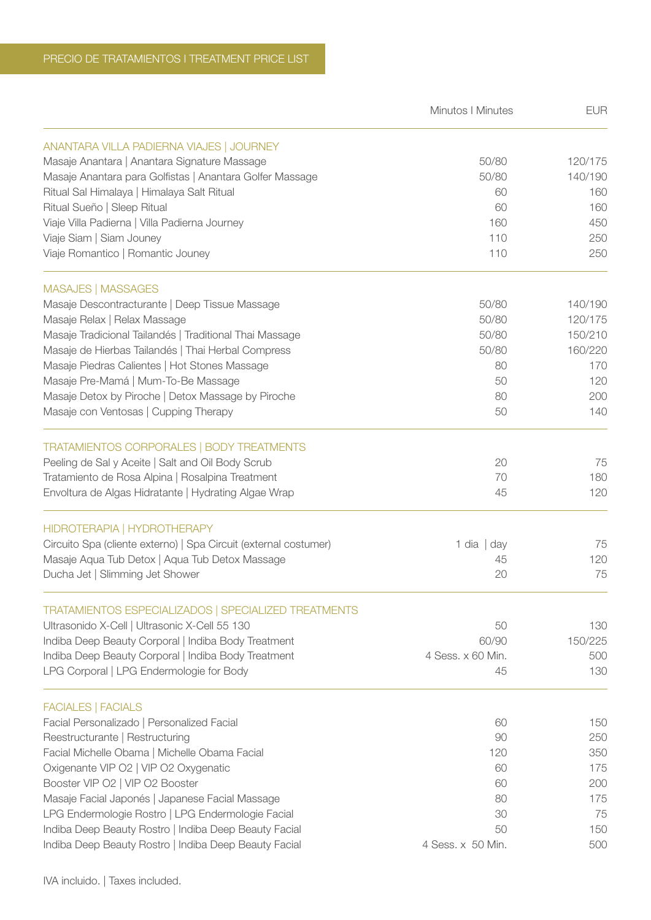|                                                                  | <b>Minutos   Minutes</b> | <b>EUR</b> |
|------------------------------------------------------------------|--------------------------|------------|
| ANANTARA VILLA PADIERNA VIAJES   JOURNEY                         |                          |            |
| Masaje Anantara   Anantara Signature Massage                     | 50/80                    | 120/175    |
| Masaje Anantara para Golfistas   Anantara Golfer Massage         | 50/80                    | 140/190    |
| Ritual Sal Himalaya   Himalaya Salt Ritual                       | 60                       | 160        |
| Ritual Sueño   Sleep Ritual                                      | 60                       | 160        |
| Viaje Villa Padierna   Villa Padierna Journey                    | 160                      | 450        |
| Viaje Siam   Siam Jouney                                         | 110                      | 250        |
| Viaje Romantico   Romantic Jouney                                | 110                      | 250        |
| <b>MASAJES   MASSAGES</b>                                        |                          |            |
| Masaje Descontracturante   Deep Tissue Massage                   | 50/80                    | 140/190    |
| Masaje Relax   Relax Massage                                     | 50/80                    | 120/175    |
| Masaje Tradicional Tailandés   Traditional Thai Massage          | 50/80                    | 150/210    |
| Masaje de Hierbas Tailandés   Thai Herbal Compress               | 50/80                    | 160/220    |
| Masaje Piedras Calientes   Hot Stones Massage                    | 80                       | 170        |
| Masaje Pre-Mamá   Mum-To-Be Massage                              | 50                       | 120        |
| Masaje Detox by Piroche   Detox Massage by Piroche               | 80                       | 200        |
| Masaje con Ventosas   Cupping Therapy                            | 50                       | 140        |
| <b>TRATAMIENTOS CORPORALES   BODY TREATMENTS</b>                 |                          |            |
| Peeling de Sal y Aceite   Salt and Oil Body Scrub                | 20                       | 75         |
| Tratamiento de Rosa Alpina   Rosalpina Treatment                 | 70                       | 180        |
| Envoltura de Algas Hidratante   Hydrating Algae Wrap             | 45                       | 120        |
| HIDROTERAPIA   HYDROTHERAPY                                      |                          |            |
| Circuito Spa (cliente externo)   Spa Circuit (external costumer) | 1 dia $ $ day            | 75         |
| Masaje Aqua Tub Detox   Aqua Tub Detox Massage                   | 45                       | 120        |
| Ducha Jet   Slimming Jet Shower                                  | 20                       | 75         |
| TRATAMIENTOS ESPECIALIZADOS   SPECIALIZED TREATMENTS             |                          |            |
| Ultrasonido X-Cell   Ultrasonic X-Cell 55 130                    | 50                       | 130        |
| Indiba Deep Beauty Corporal   Indiba Body Treatment              | 60/90                    | 150/225    |
| Indiba Deep Beauty Corporal   Indiba Body Treatment              | 4 Sess. x 60 Min.        | 500        |
| LPG Corporal   LPG Endermologie for Body                         | 45                       | 130        |
| <b>FACIALES   FACIALS</b>                                        |                          |            |
| Facial Personalizado   Personalized Facial                       | 60                       | 150        |
| Reestructurante   Restructuring                                  | 90                       | 250        |
| Facial Michelle Obama   Michelle Obama Facial                    | 120                      | 350        |
| Oxigenante VIP O2   VIP O2 Oxygenatic                            | 60                       | 175        |
| Booster VIP O2   VIP O2 Booster                                  | 60                       | 200        |
| Masaje Facial Japonés   Japanese Facial Massage                  | 80                       | 175        |
| LPG Endermologie Rostro   LPG Endermologie Facial                | 30                       | 75         |
| Indiba Deep Beauty Rostro   Indiba Deep Beauty Facial            | 50                       | 150        |
| Indiba Deep Beauty Rostro   Indiba Deep Beauty Facial            | 4 Sess. x 50 Min.        | 500        |